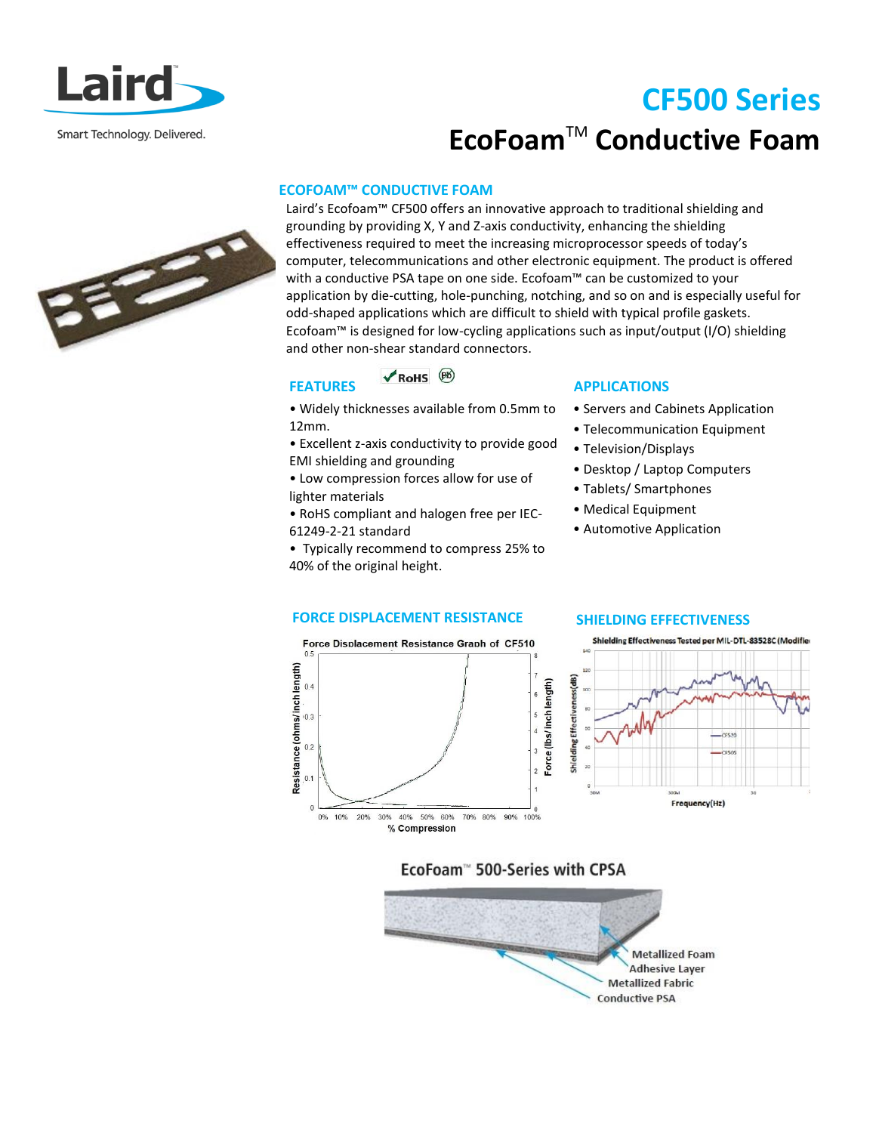

# **CF500 Series EcoFoam**TM **Conductive Foam**

# **ECOFOAM™ CONDUCTIVE FOAM**

Laird's Ecofoam™ CF500 offers an innovative approach to traditional shielding and grounding by providing X, Y and Z-axis conductivity, enhancing the shielding effectiveness required to meet the increasing microprocessor speeds of today's computer, telecommunications and other electronic equipment. The product is offered with a conductive PSA tape on one side. Ecofoam™ can be customized to your application by die-cutting, hole-punching, notching, and so on and is especially useful for odd-shaped applications which are difficult to shield with typical profile gaskets. Ecofoam™ is designed for low-cycling applications such as input/output (I/O) shielding and other non-shear standard connectors.

#### $\nV$  RoHS  $\n<sup>(B6)</sup>$ **FEATURES**

• Widely thicknesses available from 0.5mm to 12mm.

• Excellent z-axis conductivity to provide good EMI shielding and grounding

• Low compression forces allow for use of lighter materials

• RoHS compliant and halogen free per IEC-61249-2-21 standard

• Typically recommend to compress 25% to 40% of the original height.

# **APPLICATIONS**

- Servers and Cabinets Application
- Telecommunication Equipment
- Television/Displays
- Desktop / Laptop Computers
- Tablets/ Smartphones
- Medical Equipment
- Automotive Application

# **FORCE DISPLACEMENT RESISTANCE SHIELDING EFFECTIVENESS**





# EcoFoam™ 500-Series with CPSA